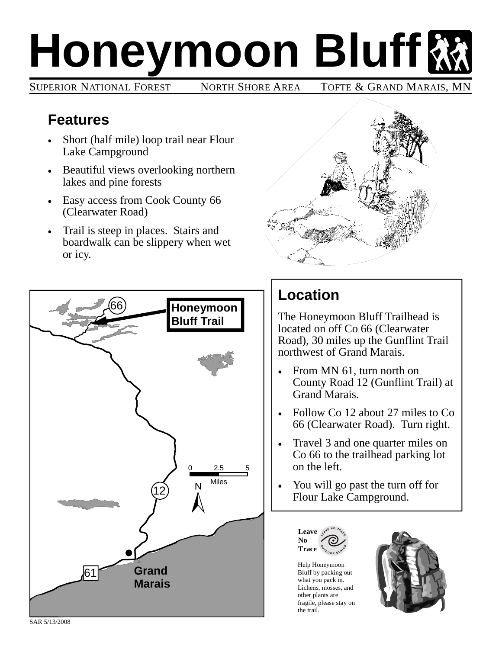## **Honeymoon Bluff**

SUPERIOR NATIONAL FOREST NORTH SHORE AREA TOFTE & GRAND MARAIS, MI

## **Features**

- Short (half mile) loop trail near Flour Lake Campground
- Beautiful views overlooking northern lakes and pine forests
- Easy access from Cook County 66 (Clearwater Road)
- Trail is steep in places. Stairs and boardwalk can be slippery when wet or icy.





## **Location**

The Honeymoon Bluff Trailhead is located on off Co 66 (Clearwater Road), 30 miles up the Gunflint Trail northwest of Grand Marais.

- From MN 61, turn north on County Road 12 (Gunflint Trail) at Grand Marais.
- Follow Co 12 about 27 miles to Co 66 (Clearwater Road). Turn right.
- Travel 3 and one quarter miles on Co 66 to the trailhead parking lot on the left.
- You will go past the turn off for Flour Lake Campground.



Help Honeymoon Bluff by packing out what you pack in. Lichens, mosses, and other plants are fragile, please stay on the trail.



SAR 5/13/2008